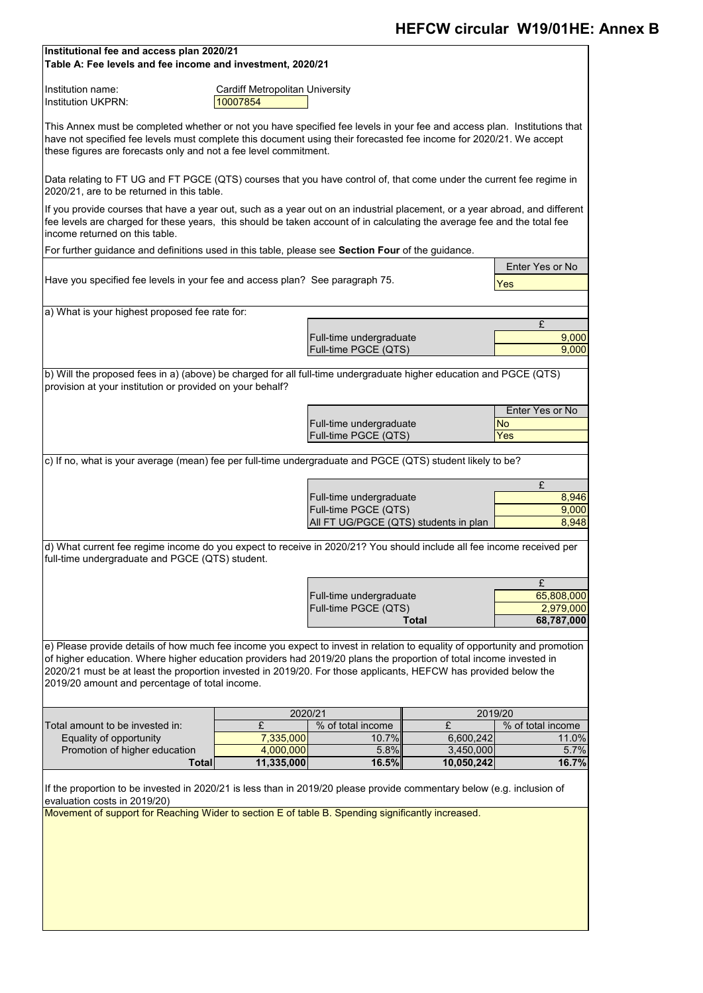If the proportion to be invested in 2020/21 is less than in 2019/20 please provide commentary below (e.g. inclusion of evaluation costs in 2019/20)

| <b>Promotion of higher education</b> | 4,000,000  | $5.8\%$ | 3,450,000  | 5.7%  |
|--------------------------------------|------------|---------|------------|-------|
| $\lceil$ otal $\lceil$               | 11,335,000 | 16.5%   | 10,050,242 | 16.7% |

| Institutional fee and access plan 2020/21<br>Table A: Fee levels and fee income and investment, 2020/21                                                                                                                                                                                                                                                             |           |                                                 |              |                         |  |  |  |  |  |  |  |  |
|---------------------------------------------------------------------------------------------------------------------------------------------------------------------------------------------------------------------------------------------------------------------------------------------------------------------------------------------------------------------|-----------|-------------------------------------------------|--------------|-------------------------|--|--|--|--|--|--|--|--|
| Institution name:<br><b>Cardiff Metropolitan University</b><br>10007854<br><b>Institution UKPRN:</b>                                                                                                                                                                                                                                                                |           |                                                 |              |                         |  |  |  |  |  |  |  |  |
| This Annex must be completed whether or not you have specified fee levels in your fee and access plan. Institutions that<br>have not specified fee levels must complete this document using their forecasted fee income for 2020/21. We accept<br>these figures are forecasts only and not a fee level commitment.                                                  |           |                                                 |              |                         |  |  |  |  |  |  |  |  |
| Data relating to FT UG and FT PGCE (QTS) courses that you have control of, that come under the current fee regime in<br>2020/21, are to be returned in this table.                                                                                                                                                                                                  |           |                                                 |              |                         |  |  |  |  |  |  |  |  |
| If you provide courses that have a year out, such as a year out on an industrial placement, or a year abroad, and different<br>fee levels are charged for these years, this should be taken account of in calculating the average fee and the total fee<br>lincome returned on this table.                                                                          |           |                                                 |              |                         |  |  |  |  |  |  |  |  |
| For further guidance and definitions used in this table, please see <b>Section Four</b> of the guidance.                                                                                                                                                                                                                                                            |           |                                                 |              |                         |  |  |  |  |  |  |  |  |
| Have you specified fee levels in your fee and access plan? See paragraph 75.                                                                                                                                                                                                                                                                                        |           |                                                 |              | Enter Yes or No<br>Yes  |  |  |  |  |  |  |  |  |
| a) What is your highest proposed fee rate for:                                                                                                                                                                                                                                                                                                                      |           |                                                 |              |                         |  |  |  |  |  |  |  |  |
|                                                                                                                                                                                                                                                                                                                                                                     |           |                                                 |              | £                       |  |  |  |  |  |  |  |  |
|                                                                                                                                                                                                                                                                                                                                                                     |           | Full-time undergraduate                         |              | 9,000                   |  |  |  |  |  |  |  |  |
|                                                                                                                                                                                                                                                                                                                                                                     |           | Full-time PGCE (QTS)                            |              | 9,000                   |  |  |  |  |  |  |  |  |
| b) Will the proposed fees in a) (above) be charged for all full-time undergraduate higher education and PGCE (QTS)<br>provision at your institution or provided on your behalf?                                                                                                                                                                                     |           |                                                 |              |                         |  |  |  |  |  |  |  |  |
|                                                                                                                                                                                                                                                                                                                                                                     |           |                                                 |              | Enter Yes or No         |  |  |  |  |  |  |  |  |
|                                                                                                                                                                                                                                                                                                                                                                     |           | Full-time undergraduate<br>Full-time PGCE (QTS) |              | <b>No</b><br>Yes        |  |  |  |  |  |  |  |  |
|                                                                                                                                                                                                                                                                                                                                                                     |           |                                                 |              |                         |  |  |  |  |  |  |  |  |
| c) If no, what is your average (mean) fee per full-time undergraduate and PGCE (QTS) student likely to be?                                                                                                                                                                                                                                                          |           |                                                 |              |                         |  |  |  |  |  |  |  |  |
|                                                                                                                                                                                                                                                                                                                                                                     |           | Full-time undergraduate                         |              | £<br>8,946              |  |  |  |  |  |  |  |  |
|                                                                                                                                                                                                                                                                                                                                                                     |           | Full-time PGCE (QTS)                            |              | 9,000                   |  |  |  |  |  |  |  |  |
|                                                                                                                                                                                                                                                                                                                                                                     |           | All FT UG/PGCE (QTS) students in plan           |              | 8,948                   |  |  |  |  |  |  |  |  |
| d) What current fee regime income do you expect to receive in 2020/21? You should include all fee income received per<br>full-time undergraduate and PGCE (QTS) student.                                                                                                                                                                                            |           |                                                 |              |                         |  |  |  |  |  |  |  |  |
|                                                                                                                                                                                                                                                                                                                                                                     |           |                                                 |              | £                       |  |  |  |  |  |  |  |  |
|                                                                                                                                                                                                                                                                                                                                                                     |           | Full-time undergraduate<br>Full-time PGCE (QTS) |              | 65,808,000<br>2,979,000 |  |  |  |  |  |  |  |  |
|                                                                                                                                                                                                                                                                                                                                                                     |           |                                                 | <b>Total</b> | 68,787,000              |  |  |  |  |  |  |  |  |
| e) Please provide details of how much fee income you expect to invest in relation to equality of opportunity and promotion<br>of higher education. Where higher education providers had 2019/20 plans the proportion of total income invested in<br>2020/21 must be at least the proportion invested in 2019/20. For those applicants, HEFCW has provided below the |           |                                                 |              |                         |  |  |  |  |  |  |  |  |
| 2019/20 amount and percentage of total income.                                                                                                                                                                                                                                                                                                                      |           |                                                 |              |                         |  |  |  |  |  |  |  |  |
|                                                                                                                                                                                                                                                                                                                                                                     |           | 2020/21                                         |              | 2019/20                 |  |  |  |  |  |  |  |  |
| Total amount to be invested in:                                                                                                                                                                                                                                                                                                                                     | £         | % of total income                               | £            | % of total income       |  |  |  |  |  |  |  |  |
| Equality of opportunity                                                                                                                                                                                                                                                                                                                                             | 7,335,000 | 10.7%                                           | 6,600,242    | 11.0%                   |  |  |  |  |  |  |  |  |

Movement of support for Reaching Wider to section E of table B. Spending significantly increased.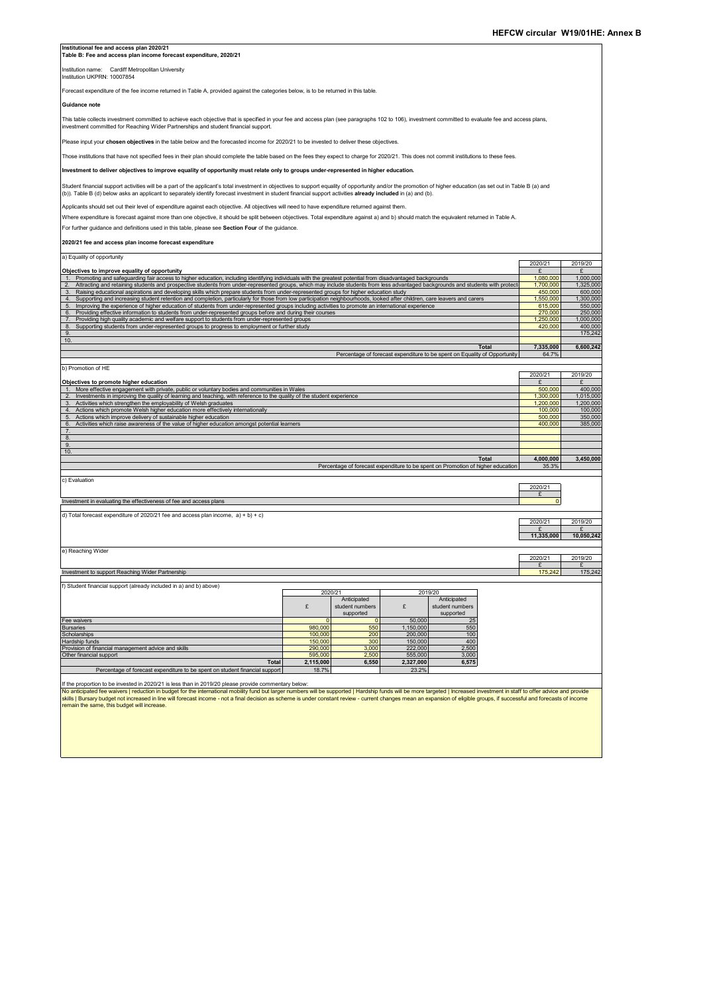| Institutional fee and access plan 2020/21<br>Table B: Fee and access plan income forecast expenditure, 2020/21                                                                                                                                                                                                                                                                    |                                                                                                                                       |                                             |                      |                                                                                                 |                      |                      |  |  |  |  |  |  |
|-----------------------------------------------------------------------------------------------------------------------------------------------------------------------------------------------------------------------------------------------------------------------------------------------------------------------------------------------------------------------------------|---------------------------------------------------------------------------------------------------------------------------------------|---------------------------------------------|----------------------|-------------------------------------------------------------------------------------------------|----------------------|----------------------|--|--|--|--|--|--|
| Institution name: Cardiff Metropolitan University                                                                                                                                                                                                                                                                                                                                 |                                                                                                                                       |                                             |                      |                                                                                                 |                      |                      |  |  |  |  |  |  |
| Institution UKPRN: 10007854                                                                                                                                                                                                                                                                                                                                                       |                                                                                                                                       |                                             |                      |                                                                                                 |                      |                      |  |  |  |  |  |  |
| Forecast expenditure of the fee income returned in Table A, provided against the categories below, is to be returned in this table.<br>Guidance note                                                                                                                                                                                                                              |                                                                                                                                       |                                             |                      |                                                                                                 |                      |                      |  |  |  |  |  |  |
| This table collects investment committed to achieve each objective that is specified in your fee and access plan (see paragraphs 102 to 106), investment committed to evaluate fee and access plans,                                                                                                                                                                              |                                                                                                                                       |                                             |                      |                                                                                                 |                      |                      |  |  |  |  |  |  |
| investment committed for Reaching Wider Partnerships and student financial support.                                                                                                                                                                                                                                                                                               |                                                                                                                                       |                                             |                      |                                                                                                 |                      |                      |  |  |  |  |  |  |
| Please input your chosen objectives in the table below and the forecasted income for 2020/21 to be invested to deliver these objectives.                                                                                                                                                                                                                                          |                                                                                                                                       |                                             |                      |                                                                                                 |                      |                      |  |  |  |  |  |  |
| Those institutions that have not specified fees in their plan should complete the table based on the fees they expect to charge for 2020/21. This does not commit institutions to these fees.                                                                                                                                                                                     |                                                                                                                                       |                                             |                      |                                                                                                 |                      |                      |  |  |  |  |  |  |
|                                                                                                                                                                                                                                                                                                                                                                                   | Investment to deliver objectives to improve equality of opportunity must relate only to groups under-represented in higher education. |                                             |                      |                                                                                                 |                      |                      |  |  |  |  |  |  |
| Student financial support activities will be a part of the applicant's total investment in objectives to support equality of opportunity and/or the promotion of higher education (as set out in Table B (a) and<br>(b)). Table B (d) below asks an applicant to separately identify forecast investment in student financial support activities already included in (a) and (b). |                                                                                                                                       |                                             |                      |                                                                                                 |                      |                      |  |  |  |  |  |  |
| Applicants should set out their level of expenditure against each objective. All objectives will need to have expenditure returned against them.                                                                                                                                                                                                                                  |                                                                                                                                       |                                             |                      |                                                                                                 |                      |                      |  |  |  |  |  |  |
| Where expenditure is forecast against more than one objective, it should be split between objectives. Total expenditure against a) and b) should match the equivalent returned in Table A.                                                                                                                                                                                        |                                                                                                                                       |                                             |                      |                                                                                                 |                      |                      |  |  |  |  |  |  |
| For further guidance and definitions used in this table, please see Section Four of the guidance.                                                                                                                                                                                                                                                                                 |                                                                                                                                       |                                             |                      |                                                                                                 |                      |                      |  |  |  |  |  |  |
| 2020/21 fee and access plan income forecast expenditure                                                                                                                                                                                                                                                                                                                           |                                                                                                                                       |                                             |                      |                                                                                                 |                      |                      |  |  |  |  |  |  |
| a) Equality of opportunity                                                                                                                                                                                                                                                                                                                                                        |                                                                                                                                       |                                             |                      |                                                                                                 | 2020/21              | 2019/20              |  |  |  |  |  |  |
| Objectives to improve equality of opportunity<br>1. Promoting and safeguarding fair access to higher education, including identifying individuals with the greatest potential from disadvantaged backgrounds                                                                                                                                                                      |                                                                                                                                       |                                             |                      |                                                                                                 | £<br>1,080,000       | £<br>1,000,000       |  |  |  |  |  |  |
| 2.<br>Attracting and retaining students and prospective students from under-represented groups, which may include students from less advantaged backgrounds and students with protect<br>3. Raising educational aspirations and developing skills which prepare students from under-represented groups for higher education study                                                 |                                                                                                                                       |                                             |                      |                                                                                                 | 1,700,000<br>450,000 | 1,325,000<br>600,000 |  |  |  |  |  |  |
| 4.<br>Supporting and increasing student retention and completion, particularly for those from low participation neighbourhoods, looked after children, care leavers and carers                                                                                                                                                                                                    |                                                                                                                                       |                                             |                      |                                                                                                 | 1,550,000            | 1,300,000            |  |  |  |  |  |  |
| 5.<br>Improving the experience of higher education of students from under-represented groups including activities to promote an international experience<br>6.<br>Providing effective information to students from under-represented groups before and during their courses                                                                                                       |                                                                                                                                       |                                             |                      |                                                                                                 | 615,000<br>270,000   | 550,000<br>250,000   |  |  |  |  |  |  |
| 7.<br>Providing high quality academic and welfare support to students from under-represented groups                                                                                                                                                                                                                                                                               |                                                                                                                                       |                                             |                      |                                                                                                 | 1,250,000            | 1,000,000            |  |  |  |  |  |  |
| 8.<br>Supporting students from under-represented groups to progress to employment or further study<br>9.                                                                                                                                                                                                                                                                          |                                                                                                                                       |                                             |                      |                                                                                                 | 420,000              | 400,000<br>175,242   |  |  |  |  |  |  |
| 10.                                                                                                                                                                                                                                                                                                                                                                               |                                                                                                                                       |                                             |                      |                                                                                                 |                      |                      |  |  |  |  |  |  |
|                                                                                                                                                                                                                                                                                                                                                                                   |                                                                                                                                       |                                             |                      | Total<br>Percentage of forecast expenditure to be spent on Equality of Opportunity              | 7,335,000<br>64.7%   | 6,600,242            |  |  |  |  |  |  |
|                                                                                                                                                                                                                                                                                                                                                                                   |                                                                                                                                       |                                             |                      |                                                                                                 |                      |                      |  |  |  |  |  |  |
| b) Promotion of HE                                                                                                                                                                                                                                                                                                                                                                |                                                                                                                                       |                                             |                      |                                                                                                 | 2020/21              | 2019/20              |  |  |  |  |  |  |
| Objectives to promote higher education                                                                                                                                                                                                                                                                                                                                            |                                                                                                                                       |                                             |                      |                                                                                                 | £                    | £                    |  |  |  |  |  |  |
| More effective engagement with private, public or voluntary bodies and communities in Wales<br>$\overline{2}$<br>Investments in improving the quality of learning and teaching, with reference to the quality of the student experience                                                                                                                                           |                                                                                                                                       |                                             |                      |                                                                                                 | 500,000<br>1,300,000 | 400,000<br>1,015,000 |  |  |  |  |  |  |
| 3.<br>Activities which strengthen the employability of Welsh graduates                                                                                                                                                                                                                                                                                                            |                                                                                                                                       |                                             |                      |                                                                                                 | 1,200,000            | 1,200,000            |  |  |  |  |  |  |
| 4.<br>Actions which promote Welsh higher education more effectively internationally<br>5.                                                                                                                                                                                                                                                                                         |                                                                                                                                       |                                             |                      |                                                                                                 | 100,000<br>500,000   | 100,000<br>350,000   |  |  |  |  |  |  |
| Actions which improve delivery of sustainable higher education<br>6.<br>Activities which raise awareness of the value of higher education amongst potential learners                                                                                                                                                                                                              |                                                                                                                                       |                                             |                      |                                                                                                 | 400,000              | 385,000              |  |  |  |  |  |  |
| $\overline{7}$                                                                                                                                                                                                                                                                                                                                                                    |                                                                                                                                       |                                             |                      |                                                                                                 |                      |                      |  |  |  |  |  |  |
| 8.<br>9.                                                                                                                                                                                                                                                                                                                                                                          |                                                                                                                                       |                                             |                      |                                                                                                 |                      |                      |  |  |  |  |  |  |
| 10.                                                                                                                                                                                                                                                                                                                                                                               |                                                                                                                                       |                                             |                      |                                                                                                 | 4,000,000            |                      |  |  |  |  |  |  |
|                                                                                                                                                                                                                                                                                                                                                                                   |                                                                                                                                       |                                             |                      | <b>Total</b><br>Percentage of forecast expenditure to be spent on Promotion of higher education | 35.3%                | 3,450,000            |  |  |  |  |  |  |
| c) Evaluation                                                                                                                                                                                                                                                                                                                                                                     |                                                                                                                                       |                                             |                      |                                                                                                 |                      |                      |  |  |  |  |  |  |
|                                                                                                                                                                                                                                                                                                                                                                                   |                                                                                                                                       |                                             |                      |                                                                                                 | 2020/21<br>£         |                      |  |  |  |  |  |  |
| Investment in evaluating the effectiveness of fee and access plans                                                                                                                                                                                                                                                                                                                |                                                                                                                                       |                                             |                      |                                                                                                 | $\mathbf 0$          |                      |  |  |  |  |  |  |
| d) Total forecast expenditure of 2020/21 fee and access plan income, $a$ ) + b) + c)                                                                                                                                                                                                                                                                                              |                                                                                                                                       |                                             |                      |                                                                                                 | 2020/21              | 2019/20              |  |  |  |  |  |  |
|                                                                                                                                                                                                                                                                                                                                                                                   |                                                                                                                                       |                                             |                      |                                                                                                 | £                    | £                    |  |  |  |  |  |  |
|                                                                                                                                                                                                                                                                                                                                                                                   |                                                                                                                                       |                                             |                      |                                                                                                 | 11,335,000           | 10,050,242           |  |  |  |  |  |  |
| e) Reaching Wider                                                                                                                                                                                                                                                                                                                                                                 |                                                                                                                                       |                                             |                      |                                                                                                 | 2020/21              | 2019/20              |  |  |  |  |  |  |
| Investment to support Reaching Wider Partnership                                                                                                                                                                                                                                                                                                                                  |                                                                                                                                       |                                             |                      |                                                                                                 | £<br>175,242         | £<br>175,242         |  |  |  |  |  |  |
| f) Student financial support (already included in a) and b) above)                                                                                                                                                                                                                                                                                                                |                                                                                                                                       |                                             |                      |                                                                                                 |                      |                      |  |  |  |  |  |  |
|                                                                                                                                                                                                                                                                                                                                                                                   | 2020/21                                                                                                                               |                                             | 2019/20              |                                                                                                 |                      |                      |  |  |  |  |  |  |
|                                                                                                                                                                                                                                                                                                                                                                                   | £                                                                                                                                     | Anticipated<br>student numbers<br>supported | £                    | Anticipated<br>student numbers<br>supported                                                     |                      |                      |  |  |  |  |  |  |
| Fee waivers                                                                                                                                                                                                                                                                                                                                                                       | $\overline{0}$                                                                                                                        | $\mathbf 0$                                 | 50,000               | 25                                                                                              |                      |                      |  |  |  |  |  |  |
| <b>Bursaries</b><br>Scholarships                                                                                                                                                                                                                                                                                                                                                  | 980,000<br>100,000                                                                                                                    | 550<br>200                                  | 1,150,000<br>200,000 | 550<br>100                                                                                      |                      |                      |  |  |  |  |  |  |
| Hardship funds                                                                                                                                                                                                                                                                                                                                                                    | 150,000                                                                                                                               | 300                                         | 150,000              | 400                                                                                             |                      |                      |  |  |  |  |  |  |
| Provision of financial management advice and skills<br>Other financial support                                                                                                                                                                                                                                                                                                    | 290,000<br>595,000                                                                                                                    | 3,000                                       | 222,000<br>555,000   | 2,500                                                                                           |                      |                      |  |  |  |  |  |  |
| <b>Total</b>                                                                                                                                                                                                                                                                                                                                                                      | 2,115,000                                                                                                                             | 2,500<br>6,550                              | 2,327,000            | 3,000<br>6,575                                                                                  |                      |                      |  |  |  |  |  |  |
| Percentage of forecast expenditure to be spent on student financial support                                                                                                                                                                                                                                                                                                       | 18.7%                                                                                                                                 |                                             | 23.2%                |                                                                                                 |                      |                      |  |  |  |  |  |  |
| If the proportion to be invested in 2020/21 is less than in 2019/20 please provide commentary below:                                                                                                                                                                                                                                                                              |                                                                                                                                       |                                             |                      |                                                                                                 |                      |                      |  |  |  |  |  |  |
| No anticipated fee waivers   reduction in budget for the international mobility fund but larger numbers will be supported   Hardship funds will be more targeted   Increased investment in staff to offer advice and provide                                                                                                                                                      |                                                                                                                                       |                                             |                      |                                                                                                 |                      |                      |  |  |  |  |  |  |
| skills   Bursary budget not increased in line will forecast income - not a final decision as scheme is under constant review - current changes mean an expansion of eligible groups, if successful and forecasts of income<br>remain the same, this budget will increase.                                                                                                         |                                                                                                                                       |                                             |                      |                                                                                                 |                      |                      |  |  |  |  |  |  |
|                                                                                                                                                                                                                                                                                                                                                                                   |                                                                                                                                       |                                             |                      |                                                                                                 |                      |                      |  |  |  |  |  |  |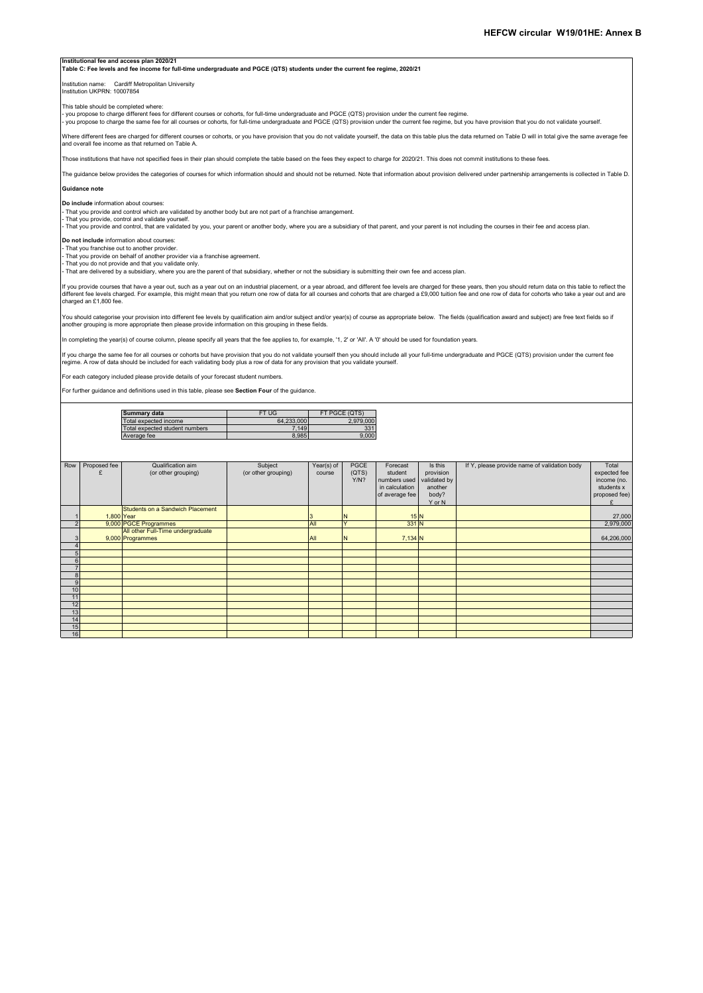#### **Institutional fee and access plan 2020/21**

**Table C: Fee levels and fee income for full-time undergraduate and PGCE (QTS) students under the current fee regime, 2020/21**

# Institution name: Cardiff Metropolitan University Institution UKPRN: 10007854

This table should be completed where:

- you propose to charge different fees for different courses or cohorts, for full-time undergraduate and PGCE (QTS) provision under the current fee regime.<br>- you propose to charge the same fee for all courses or cohorts, f

Where different fees are charged for different courses or cohorts, or you have provision that you do not validate yourself, the data on this table plus the data returned on Table D will in total give the same average fee and overall fee income as that returned on Table A.

Those institutions that have not specified fees in their plan should complete the table based on the fees they expect to charge for 2020/21. This does not commit institutions to these fees.

The guidance below provides the categories of courses for which information should and should not be returned. Note that information about provision delivered under partnership arrangements is collected in Table D.

## **Guidance note**

**Do include** information about courses:

- That you provide and control which are validated by another body but are not part of a franchise arrangement. - That you provide, control and validate yourself.

- That you provide and control, that are validated by you, your parent or another body, where you are a subsidiary of that parent, and your parent is not including the courses in their fee and access plan.

#### **Do not include** information about courses:

- That you franchise out to another provider. - That you provide on behalf of another provider via a franchise agreement.

- That you do not provide and that you validate only.<br>- That are delivered by a subsidiary, where you are the parent of that subsidiary, whether or not the subsidiary is submitting their own fee and access plan.

If you provide courses that have a year out, such as a year out on an industrial placement, or a year abroad, and different fee levels are charged for these years, then you should return data on this table to reflect the<br>d

You should categorise your provision into different fee levels by qualification aim and/or subject and/or year(s) of course as appropriate below. The fields (qualification award and subject) are free text fields so if<br>anot

In completing the year(s) of course column, please specify all years that the fee applies to, for example, '1, 2' or 'All'. A '0' should be used for foundation years.

lf you charge the same fee for all courses or cohorts but have provision that you do not validate yourself then you should include all your full-time undergraduate and PGCE (QTS) provision under the current fee<br>regime. A

For each category included please provide details of your forecast student numb

For further guidance and definitions used in this table, please see **Section Four** of the guidance.

| Summary data                   | FT UG      | FT PGCE (QTS) |
|--------------------------------|------------|---------------|
| Total expected income          | 64.233.000 | 2.979.000     |
| Total expected student numbers | 7.149      | 331           |
| Average fee                    | 8.985      | 9.000         |

| Row | Proposed fee | Qualification aim<br>(or other grouping)              | Subject<br>(or other grouping) | Year(s) of<br>course | PGCE<br>(QTS)<br>Y/N? | Forecast<br>student<br>numbers used<br>in calculation<br>of average fee | Is this<br>provision<br>validated by<br>another<br>body? | If Y, please provide name of validation body | Total<br>expected fee<br>income (no.<br>students x<br>proposed fee) |
|-----|--------------|-------------------------------------------------------|--------------------------------|----------------------|-----------------------|-------------------------------------------------------------------------|----------------------------------------------------------|----------------------------------------------|---------------------------------------------------------------------|
|     |              |                                                       |                                |                      |                       |                                                                         | Y or N                                                   |                                              |                                                                     |
|     | 1,800 Year   | Students on a Sandwich Placement                      |                                |                      |                       | 15N                                                                     |                                                          |                                              | 27,000                                                              |
|     |              | 9,000 PGCE Programmes                                 |                                | All                  | $\checkmark$          | $331$ N                                                                 |                                                          |                                              | 2,979,000                                                           |
|     |              | All other Full-Time undergraduate<br>9,000 Programmes |                                | All                  |                       | $7,134$ N                                                               |                                                          |                                              | 64,206,000                                                          |
|     |              |                                                       |                                |                      |                       |                                                                         |                                                          |                                              |                                                                     |
|     |              |                                                       |                                |                      |                       |                                                                         |                                                          |                                              |                                                                     |
|     |              |                                                       |                                |                      |                       |                                                                         |                                                          |                                              |                                                                     |
|     |              |                                                       |                                |                      |                       |                                                                         |                                                          |                                              |                                                                     |
| 8   |              |                                                       |                                |                      |                       |                                                                         |                                                          |                                              |                                                                     |
| 9   |              |                                                       |                                |                      |                       |                                                                         |                                                          |                                              |                                                                     |
| 10  |              |                                                       |                                |                      |                       |                                                                         |                                                          |                                              |                                                                     |
| 11  |              |                                                       |                                |                      |                       |                                                                         |                                                          |                                              |                                                                     |
| 12  |              |                                                       |                                |                      |                       |                                                                         |                                                          |                                              |                                                                     |
| 13  |              |                                                       |                                |                      |                       |                                                                         |                                                          |                                              |                                                                     |
| 14  |              |                                                       |                                |                      |                       |                                                                         |                                                          |                                              |                                                                     |
| 15  |              |                                                       |                                |                      |                       |                                                                         |                                                          |                                              |                                                                     |
| 16  |              |                                                       |                                |                      |                       |                                                                         |                                                          |                                              |                                                                     |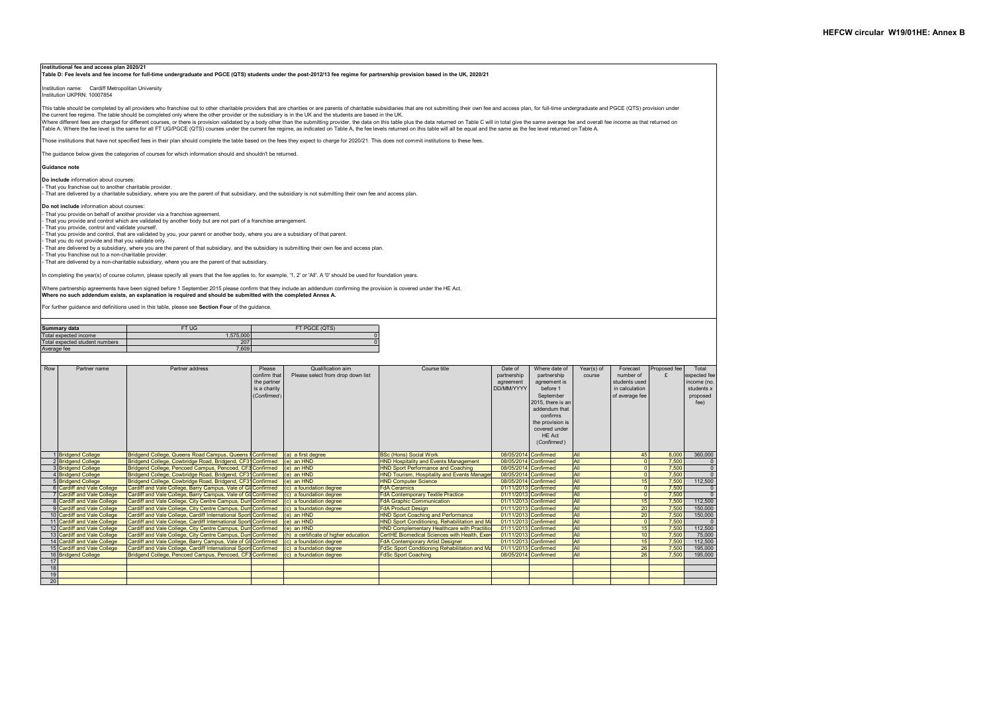### **Institutional fee and access plan 2020/21**

**Table D: Fee levels and fee income for full-time undergraduate and PGCE (QTS) students under the post-2012/13 fee regime for partnership provision based in the UK, 2020/21**

Institution name: Cardiff Metropolitan University Institution UKPRN: 10007854

This table should be completed by all providers who franchise out to other charitable providers that are charities or are parents of charitable subsidiaries that are not submitting their own fee and access plan, for full-t the current fee regime. The table should be completed only where the other provider or the subsidiary is in the UK and the students are based in the UK.

We can consider the same a complete and the conservation of the conservation with the submitting provider, the data on this table plus the data returned on Table C will in total give the same average fee and overall fee in Table A. Where the fee level is the same for all FT UG/PGCE (QTS) courses under the current fee regime, as indicated on Table A, the fee levels returned on this table will all be equal and the same as the fee level requal

Those institutions that have not specified fees in their plan should complete the table based on the fees they expect to charge for 2020/21. This does not commit institutions to these fees.

The guidance below gives the categories of courses for which information should and shouldn't be returned.

#### **Guidance note**

**Do include** information about courses:

- That you franchise out to another charitable provider. - That are delivered by a charitable subsidiary, where you are the parent of that subsidiary, and the subsidiary is not submitting their own fee and access plan.

**Do not include** information about courses:

- That you provide on behalf of another provider via a franchise agreement.

- That you provide and control which are validated by another body but are not part of a franchise arrangement.

- That you provide, control and validate yourself.

- That you provide and control, that are validated by you, your parent or another body, where you are a subsidiary of that parent. - That you do not provide and that you validate only.

- That are delivered by a subsidiary, where you are the parent of that subsidiary, and the subsidiary is submitting their own fee and access plan.

- That you franchise out to a non-charitable provider.

- That are delivered by a non-charitable subsidiary, where you are the parent of that subsidiary.

In completing the year(s) of course column, please specify all years that the fee applies to, for example, '1, 2' or 'All'. A '0' should be used for foundation years.

Where partnership agreements have been signed before 1 September 2015 please confirm that they include an addendum confirming the provision is covered under the HE Act. **Where no such addendum exists, an explanation is required and should be submitted with the completed Annex A.**

For further guidance and definitions used in this table, please see **Section Four** of the guidance.

| Summary data                   | FT UG     | FT PGCE (QTS) |
|--------------------------------|-----------|---------------|
| Total expected income          | 1.575.000 |               |
| Total expected student numbers | 207       |               |
| Average fee                    | 7.609     |               |

| Row | Partner name                | Partner address                                                 | Please       | Qualification aim                     | Course title                                         | Date of              | Where date of     | Year(s) of | Forecast       | Proposed fee | Total          |
|-----|-----------------------------|-----------------------------------------------------------------|--------------|---------------------------------------|------------------------------------------------------|----------------------|-------------------|------------|----------------|--------------|----------------|
|     |                             |                                                                 | confirm that | Please select from drop down list     |                                                      | partnership          | partnership       | course     | number of      |              | expected fee   |
|     |                             |                                                                 | the partner  |                                       |                                                      | agreement            | agreement is      |            | students used  |              | income (no.    |
|     |                             |                                                                 | is a charity |                                       |                                                      | DD/MM/YYYY           | before 1          |            | in calculation |              | students x     |
|     |                             |                                                                 | (Confirmed)  |                                       |                                                      |                      | September         |            | of average fee |              | proposed       |
|     |                             |                                                                 |              |                                       |                                                      |                      | 2015, there is an |            |                |              | fee)           |
|     |                             |                                                                 |              |                                       |                                                      |                      | addendum that     |            |                |              |                |
|     |                             |                                                                 |              |                                       |                                                      |                      | confirms          |            |                |              |                |
|     |                             |                                                                 |              |                                       |                                                      |                      | the provision is  |            |                |              |                |
|     |                             |                                                                 |              |                                       |                                                      |                      | covered under     |            |                |              |                |
|     |                             |                                                                 |              |                                       |                                                      |                      | HE Act            |            |                |              |                |
|     |                             |                                                                 |              |                                       |                                                      |                      | (Confirmed)       |            |                |              |                |
|     |                             |                                                                 |              |                                       |                                                      |                      |                   |            |                |              |                |
|     | <b>Bridgend College</b>     | Bridgend College, Queens Road Campus, Queens I Confirmed        |              | (a) a first degree                    | <b>BSc (Hons) Social Work</b>                        | 08/05/2014 Confirmed |                   | All        | 45             | 8.000        | 360,000        |
|     | 2 Bridgend College          | Bridgend College, Cowbridge Road, Bridgend, CF31 Confirmed      |              | $(e)$ an $HND$                        | <b>HND Hospitality and Events Management</b>         | 08/05/2014 Confirmed |                   | All        |                | 7.500        |                |
|     | <b>Bridgend College</b>     | Bridgend College, Pencoed Campus, Pencoed, CF3 Confirmed        |              | (e) an HND                            | <b>HND Sport Performance and Coaching</b>            | 08/05/2014 Confirmed |                   | All        |                | 7.500        | $\mathbf{0}$   |
|     | 4 Bridgend College          | Bridgend College, Cowbridge Road, Bridgend, CF31 Confirmed      |              | (e) an HND                            | <b>HND Tourism, Hospitality and Events Manager</b>   | 08/05/2014 Confirmed |                   | All        |                | 7,500        | $\overline{0}$ |
|     | 5 Bridgend College          | Bridgend College, Cowbridge Road, Bridgend, CF31 Confirmed      |              | (e) an HND                            | <b>HND Computer Science</b>                          | 08/05/2014 Confirmed |                   | All        | 15             | 7.500        | 112,500        |
|     | 6 Cardiff and Vale College  | Cardiff and Vale College, Barry Campus, Vale of GI Confirmed    |              | (c) a foundation degree               | <b>FdA Ceramics</b>                                  | 01/11/2013 Confirmed |                   | All        |                | 7.500        |                |
|     | Cardiff and Vale College    | Cardiff and Vale College, Barry Campus, Vale of GI Confirmed    |              | (c) a foundation degree               | <b>FdA Contemporary Textile Practice</b>             | 01/11/2013 Confirmed |                   | All        |                | 7.500        | $\Omega$       |
|     | 8 Cardiff and Vale College  | Cardiff and Vale College. City Centre Campus. Dum Confirmed     |              | (c) a foundation degree               | <b>FdA Graphic Communication</b>                     | 01/11/2013 Confirmed |                   | All        | 15             | 7.500        | 112,500        |
|     | 9 Cardiff and Vale College  | Cardiff and Vale College, City Centre Campus, Dum Confirmed     |              | (c) a foundation degree               | <b>FdA Product Design</b>                            | 01/11/2013 Confirmed |                   | All        | 20             | 7.500        | 150,000        |
|     | 10 Cardiff and Vale College | Cardiff and Vale College, Cardiff International Sport Confirmed |              | (e) an HND                            | <b>HND Sport Coaching and Performance</b>            | 01/11/2013 Confirmed |                   | All        | 20             | 7.500        | 150,000        |
|     | 11 Cardiff and Vale College | Cardiff and Vale College, Cardiff International Sport Confirmed |              | (e) an HND                            | HND Sport Conditioning, Rehabilitation and Ma        | 01/11/2013 Confirmed |                   | All        | $\Omega$       | 7.500        | $\Omega$       |
|     | 12 Cardiff and Vale College | Cardiff and Vale College, City Centre Campus, Dum Confirmed     |              | $(e)$ an $HND$                        | <b>HND Complementary Healthcare with Practitio</b>   | 01/11/2013 Confirmed |                   | All        | 15             | 7.500        | 112,500        |
|     | 13 Cardiff and Vale College | Cardiff and Vale College. City Centre Campus. Dum Confirmed     |              | (h) a certificate of higher education | CertHE Biomedical Sciences with Health. Exer-        | 01/11/2013 Confirmed |                   | All        | 10             | 7.500        | 75,000         |
|     | 14 Cardiff and Vale College | Cardiff and Vale College, Barry Campus, Vale of GI Confirmed    |              | (c) a foundation degree               | <b>FdA Contemporary Artist Designer</b>              | 01/11/2013 Confirmed |                   | All        | 15             | 7.500        | 112,500        |
|     | 15 Cardiff and Vale College | Cardiff and Vale College. Cardiff International Sport Confirmed |              | (c) a foundation degree               | <b>FdSc Sport Conditioning Rehabilitation and Ma</b> | 01/11/2013 Confirmed |                   | All        | 26             | 7.500        | 195,000        |
|     | 16 Bridgend College         | Bridgend College, Pencoed Campus, Pencoed, CF3 Confirmed        |              | (c) a foundation degree               | <b>FdSc Sport Coaching</b>                           | 08/05/2014 Confirmed |                   | All        | 26             | 7.500        | 195,000        |
| 17  |                             |                                                                 |              |                                       |                                                      |                      |                   |            |                |              |                |
| 18  |                             |                                                                 |              |                                       |                                                      |                      |                   |            |                |              |                |
| 19  |                             |                                                                 |              |                                       |                                                      |                      |                   |            |                |              |                |
| 20  |                             |                                                                 |              |                                       |                                                      |                      |                   |            |                |              |                |